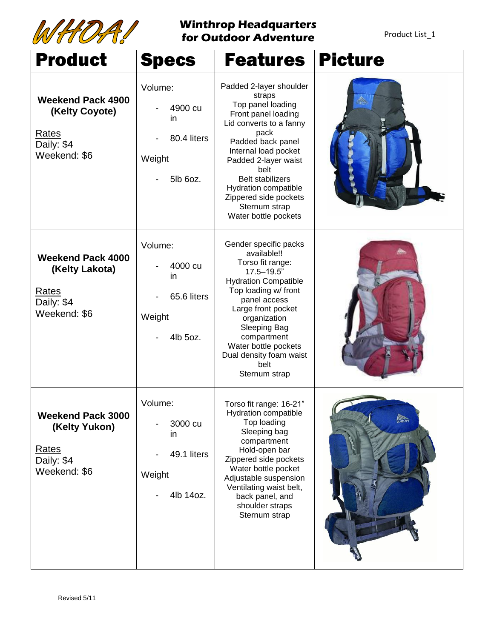

## **Winthrop Headquarters for Outdoor Adventure**

Product List\_1

| <b>Product</b>                                                                           | <b>Specs</b>                                                   | <b>Features</b>                                                                                                                                                                                                                                                                                                           | <b>Picture</b> |
|------------------------------------------------------------------------------------------|----------------------------------------------------------------|---------------------------------------------------------------------------------------------------------------------------------------------------------------------------------------------------------------------------------------------------------------------------------------------------------------------------|----------------|
| <b>Weekend Pack 4900</b><br>(Kelty Coyote)<br><b>Rates</b><br>Daily: \$4<br>Weekend: \$6 | Volume:<br>4900 cu<br>in<br>80.4 liters<br>Weight<br>5lb 6oz.  | Padded 2-layer shoulder<br>straps<br>Top panel loading<br>Front panel loading<br>Lid converts to a fanny<br>pack<br>Padded back panel<br>Internal load pocket<br>Padded 2-layer waist<br>belt<br><b>Belt stabilizers</b><br><b>Hydration compatible</b><br>Zippered side pockets<br>Sternum strap<br>Water bottle pockets | ░              |
| <b>Weekend Pack 4000</b><br>(Kelty Lakota)<br>Rates<br>Daily: \$4<br>Weekend: \$6        | Volume:<br>4000 cu<br>in<br>65.6 liters<br>Weight<br>4lb 5oz.  | Gender specific packs<br>available!!<br>Torso fit range:<br>$17.5 - 19.5$ "<br><b>Hydration Compatible</b><br>Top loading w/ front<br>panel access<br>Large front pocket<br>organization<br>Sleeping Bag<br>compartment<br>Water bottle pockets<br>Dual density foam waist<br>belt<br>Sternum strap                       |                |
| <b>Weekend Pack 3000</b><br>(Kelty Yukon)<br>Rates<br>Daily: \$4<br>Weekend: \$6         | Volume:<br>3000 cu<br>in<br>49.1 liters<br>Weight<br>4lb 14oz. | Torso fit range: 16-21"<br>Hydration compatible<br>Top loading<br>Sleeping bag<br>compartment<br>Hold-open bar<br>Zippered side pockets<br>Water bottle pocket<br>Adjustable suspension<br>Ventilating waist belt,<br>back panel, and<br>shoulder straps<br>Sternum strap                                                 | KIELTY         |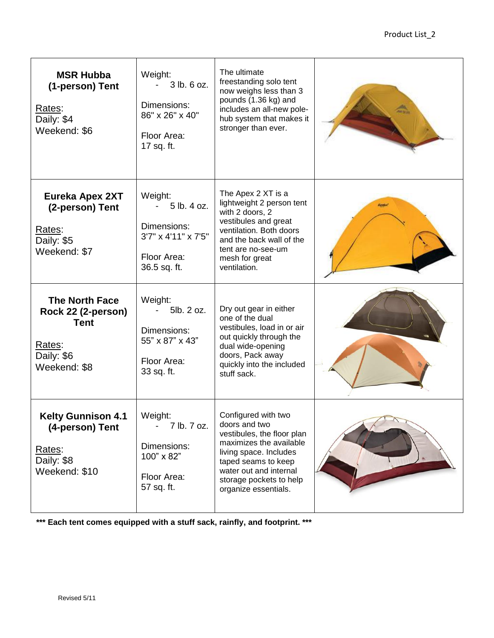| <b>MSR Hubba</b><br>(1-person) Tent<br>Rates:<br>Daily: \$4<br>Weekend: \$6                        | Weight:<br>3 lb. 6 oz.<br>Dimensions:<br>86" x 26" x 40"<br>Floor Area:<br>17 sq. ft.       | The ultimate<br>freestanding solo tent<br>now weighs less than 3<br>pounds (1.36 kg) and<br>includes an all-new pole-<br>hub system that makes it<br>stronger than ever.                                                    |              |
|----------------------------------------------------------------------------------------------------|---------------------------------------------------------------------------------------------|-----------------------------------------------------------------------------------------------------------------------------------------------------------------------------------------------------------------------------|--------------|
| <b>Eureka Apex 2XT</b><br>(2-person) Tent<br>Rates:<br>Daily: \$5<br>Weekend: \$7                  | Weight:<br>5 lb. 4 oz.<br>Dimensions:<br>3'7" x 4'11" x 7'5"<br>Floor Area:<br>36.5 sq. ft. | The Apex 2 XT is a<br>lightweight 2 person tent<br>with 2 doors, 2<br>vestibules and great<br>ventilation. Both doors<br>and the back wall of the<br>tent are no-see-um<br>mesh for great<br>ventilation.                   | <b>Denke</b> |
| <b>The North Face</b><br>Rock 22 (2-person)<br><b>Tent</b><br>Rates:<br>Daily: \$6<br>Weekend: \$8 | Weight:<br>5lb. 2 oz.<br>Dimensions:<br>55" x 87" x 43"<br>Floor Area:<br>33 sq. ft.        | Dry out gear in either<br>one of the dual<br>vestibules, load in or air<br>out quickly through the<br>dual wide-opening<br>doors, Pack away<br>quickly into the included<br>stuff sack.                                     |              |
| <b>Kelty Gunnison 4.1</b><br>(4-person) Tent<br>Rates:<br>Daily: \$8<br>Weekend: \$10              | Weight:<br>7 lb. 7 oz.<br>Dimensions:<br>100" x 82"<br>Floor Area:<br>57 sq. ft.            | Configured with two<br>doors and two<br>vestibules, the floor plan<br>maximizes the available<br>living space. Includes<br>taped seams to keep<br>water out and internal<br>storage pockets to help<br>organize essentials. |              |

**\*\*\* Each tent comes equipped with a stuff sack, rainfly, and footprint. \*\*\***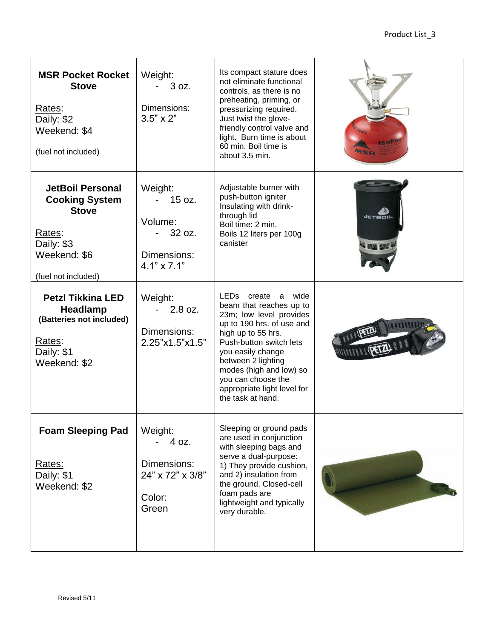| <b>MSR Pocket Rocket</b><br><b>Stove</b><br>Rates:<br>Daily: \$2<br>Weekend: \$4<br>(fuel not included)                         | Weight:<br>$-3 oz.$<br>Dimensions:<br>$3.5" \times 2"$                      | Its compact stature does<br>not eliminate functional<br>controls, as there is no<br>preheating, priming, or<br>pressurizing required.<br>Just twist the glove-<br>friendly control valve and<br>light. Burn time is about<br>60 min. Boil time is<br>about 3.5 min.                                          |                                    |
|---------------------------------------------------------------------------------------------------------------------------------|-----------------------------------------------------------------------------|--------------------------------------------------------------------------------------------------------------------------------------------------------------------------------------------------------------------------------------------------------------------------------------------------------------|------------------------------------|
| <b>JetBoil Personal</b><br><b>Cooking System</b><br><b>Stove</b><br>Rates:<br>Daily: \$3<br>Weekend: \$6<br>(fuel not included) | Weight:<br>15 oz.<br>Volume:<br>32 oz.<br>Dimensions:<br>$4.1" \times 7.1"$ | Adjustable burner with<br>push-button igniter<br>Insulating with drink-<br>through lid<br>Boil time: 2 min.<br>Boils 12 liters per 100g<br>canister                                                                                                                                                          | <b>JETBOIL</b><br><b>WARD FORE</b> |
| <b>Petzl Tikkina LED</b><br>Headlamp<br>(Batteries not included)<br>Rates:<br>Daily: \$1<br>Weekend: \$2                        | Weight:<br>$2.8$ oz.<br>Dimensions:<br>2.25"x1.5"x1.5"                      | LEDs<br>create a<br>wide<br>beam that reaches up to<br>23m; low level provides<br>up to 190 hrs. of use and<br>high up to 55 hrs.<br>Push-button switch lets<br>you easily change<br>between 2 lighting<br>modes (high and low) so<br>you can choose the<br>appropriate light level for<br>the task at hand. |                                    |
| <b>Foam Sleeping Pad</b><br>Rates:<br>Daily: \$1<br>Weekend: \$2                                                                | Weight:<br>4 oz.<br>Dimensions:<br>24" x 72" x 3/8"<br>Color:<br>Green      | Sleeping or ground pads<br>are used in conjunction<br>with sleeping bags and<br>serve a dual-purpose:<br>1) They provide cushion,<br>and 2) insulation from<br>the ground. Closed-cell<br>foam pads are<br>lightweight and typically<br>very durable.                                                        |                                    |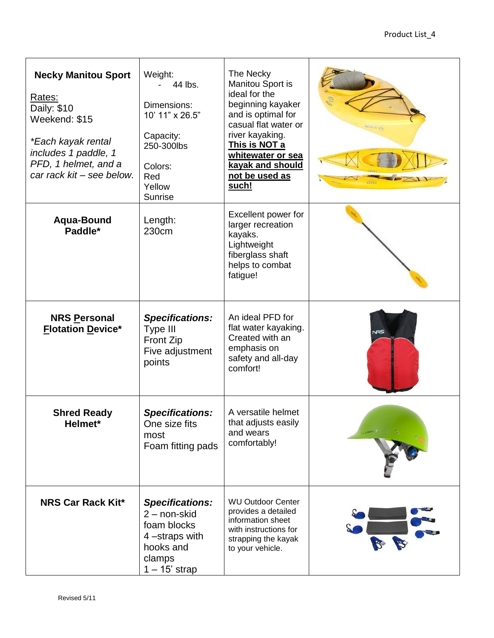| <b>Necky Manitou Sport</b><br>Rates:<br>Daily: \$10<br>Weekend: \$15<br><i>*Each kayak rental</i><br>includes 1 paddle, 1<br>PFD, 1 helmet, and a<br>car rack kit - see below. | Weight:<br>44 lbs.<br>Dimensions:<br>10' 11" x 26.5"<br>Capacity:<br>250-300lbs<br>Colors:<br>Red<br>Yellow<br><b>Sunrise</b> | The Necky<br>Manitou Sport is<br>ideal for the<br>beginning kayaker<br>and is optimal for<br>casual flat water or<br>river kayaking.<br>This is NOT a<br>whitewater or sea<br>kayak and should<br>not be used as<br><u>such!</u> |            |
|--------------------------------------------------------------------------------------------------------------------------------------------------------------------------------|-------------------------------------------------------------------------------------------------------------------------------|----------------------------------------------------------------------------------------------------------------------------------------------------------------------------------------------------------------------------------|------------|
| Aqua-Bound<br>Paddle*                                                                                                                                                          | Length:<br>230cm                                                                                                              | Excellent power for<br>larger recreation<br>kayaks.<br>Lightweight<br>fiberglass shaft<br>helps to combat<br>fatigue!                                                                                                            |            |
| <b>NRS Personal</b><br><b>Flotation Device*</b>                                                                                                                                | <b>Specifications:</b><br>Type III<br><b>Front Zip</b><br>Five adjustment<br>points                                           | An ideal PFD for<br>flat water kayaking.<br>Created with an<br>emphasis on<br>safety and all-day<br>comfort!                                                                                                                     | <b>NRS</b> |
| <b>Shred Ready</b><br>Helmet <sup>*</sup>                                                                                                                                      | <b>Specifications:</b><br>One size fits<br>most<br>Foam fitting pads                                                          | A versatile helmet<br>that adjusts easily<br>and wears<br>comfortably!                                                                                                                                                           |            |
| <b>NRS Car Rack Kit*</b>                                                                                                                                                       | <b>Specifications:</b><br>2 - non-skid<br>foam blocks<br>4-straps with<br>hooks and<br>clamps<br>$1 - 15$ ' strap             | <b>WU Outdoor Center</b><br>provides a detailed<br>information sheet<br>with instructions for<br>strapping the kayak<br>to your vehicle.                                                                                         |            |